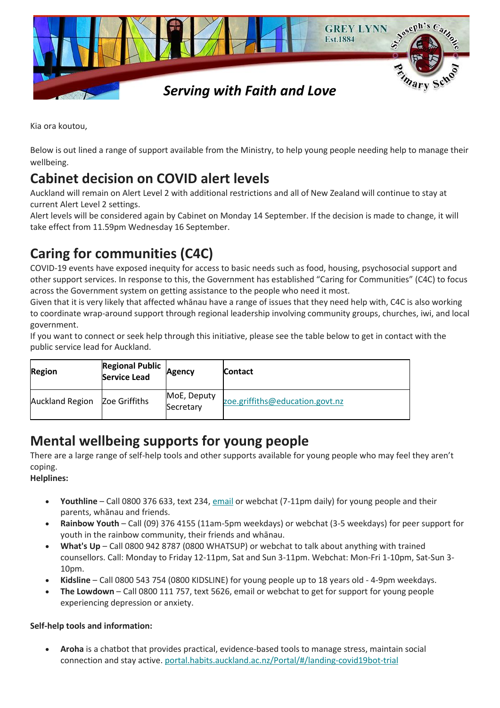

Kia ora koutou,

Below is out lined a range of support available from the Ministry, to help young people needing help to manage their wellbeing.

## **Cabinet decision on COVID alert levels**

Auckland will remain on Alert Level 2 with additional restrictions and all of New Zealand will continue to stay at current Alert Level 2 settings.

Alert levels will be considered again by Cabinet on Monday 14 September. If the decision is made to change, it will take effect from 11.59pm Wednesday 16 September.

# **Caring for communities (C4C)**

COVID-19 events have exposed inequity for access to basic needs such as food, housing, psychosocial support and other support services. In response to this, the Government has established "Caring for Communities" (C4C) to focus across the Government system on getting assistance to the people who need it most.

Given that it is very likely that affected whānau have a range of issues that they need help with, C4C is also working to coordinate wrap-around support through regional leadership involving community groups, churches, iwi, and local government.

If you want to connect or seek help through this initiative, please see the table below to get in contact with the public service lead for Auckland.

| <b>Region</b>          | <b>Regional Public</b><br><b>Service Lead</b> | Agency                   | <b>Contact</b>                  |
|------------------------|-----------------------------------------------|--------------------------|---------------------------------|
| <b>Auckland Region</b> | Zoe Griffiths                                 | MoE, Deputy<br>Secretary | zoe.griffiths@education.govt.nz |

## **Mental wellbeing supports for young people**

There are a large range of self-help tools and other supports available for young people who may feel they aren't coping.

## **Helplines:**

- **Youthline**  Call 0800 376 633, text 234, [email](mailto:talk@youthline.co.nz) or webchat (7-11pm daily) for young people and their parents, whānau and friends.
- **Rainbow Youth**  Call (09) 376 4155 (11am-5pm weekdays) or webchat (3-5 weekdays) for peer support for youth in the rainbow community, their friends and whānau.
- **What's Up**  Call 0800 942 8787 (0800 WHATSUP) or webchat to talk about anything with trained counsellors. Call: Monday to Friday 12-11pm, Sat and Sun 3-11pm. Webchat: Mon-Fri 1-10pm, Sat-Sun 3- 10pm.
- **Kidsline**  Call 0800 543 754 (0800 KIDSLINE) for young people up to 18 years old 4-9pm weekdays.
- **The Lowdown**  Call 0800 111 757, text 5626, email or webchat to get for support for young people experiencing depression or anxiety.

## **Self-help tools and information:**

 **Aroha** is a chatbot that provides practical, evidence-based tools to manage stress, maintain social connection and stay active. [portal.habits.auckland.ac.nz/Portal/#/landing-covid19bot-trial](https://govt.us3.list-manage.com/track/click?u=2f59fcd18a691d315b5a045cb&id=d3718f4f29&e=ac4eb21e12)